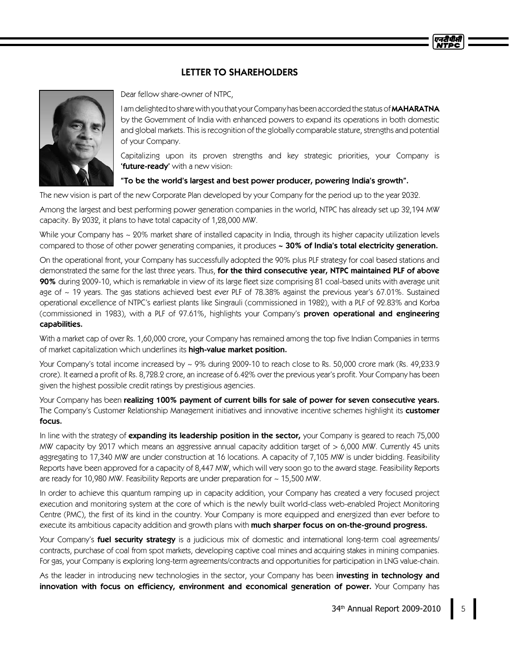## LETTER TO SHAREHOLDERS



Dear fellow share-owner of NTPC,

I am delighted to share with you that your Company has been accorded the status of MAHARATNA by the Government of India with enhanced powers to expand its operations in both domestic and global markets. This is recognition of the globally comparable stature, strengths and potential of your Company.

Capitalizing upon its proven strengths and key strategic priorities, your Company is 'future-ready' with a new vision:

## "To be the world's largest and best power producer, powering India's growth".

The new vision is part of the new Corporate Plan developed by your Company for the period up to the year 2032.

Among the largest and best performing power generation companies in the world, NTPC has already set up 32,194 MW capacity. By 2032, it plans to have total capacity of 1,28,000 MW.

While your Company has ~ 20% market share of installed capacity in India, through its higher capacity utilization levels compared to those of other power generating companies, it produces ~ 30% of India's total electricity generation.

On the operational front, your Company has successfully adopted the 90% plus PLF strategy for coal based stations and demonstrated the same for the last three years. Thus, for the third consecutive year, NTPC maintained PLF of above 90% during 2009-10, which is remarkable in view of its large fleet size comprising 81 coal-based units with average unit age of ~ 19 years. The gas stations achieved best ever PLF of 78.38% against the previous year's 67.01%. Sustained operational excellence of NTPC's earliest plants like Singrauli (commissioned in 1982), with a PLF of 92.83% and Korba (commissioned in 1983), with a PLF of 97.61%, highlights your Company's proven operational and engineering capabilities.

With a market cap of over Rs. 1,60,000 crore, your Company has remained among the top five Indian Companies in terms of market capitalization which underlines its high-value market position.

Your Company's total income increased by ~ 9% during 2009-10 to reach close to Rs. 50,000 crore mark (Rs. 49,233.9 crore). It earned a profit of Rs. 8,728.2 crore, an increase of 6.42% over the previous year's profit. Your Company has been given the highest possible credit ratings by prestigious agencies.

Your Company has been realizing 100% payment of current bills for sale of power for seven consecutive years. The Company's Customer Relationship Management initiatives and innovative incentive schemes highlight its customer focus.

In line with the strategy of expanding its leadership position in the sector, your Company is geared to reach 75,000 MW capacity by 2017 which means an aggressive annual capacity addition target of > 6,000 MW. Currently 45 units aggregating to 17,340 MW are under construction at 16 locations. A capacity of 7,105 MW is under bidding. Feasibility Reports have been approved for a capacity of 8,447 MW, which will very soon go to the award stage. Feasibility Reports are ready for 10,980 MW. Feasibility Reports are under preparation for ~ 15,500 MW.

In order to achieve this quantum ramping up in capacity addition, your Company has created a very focused project execution and monitoring system at the core of which is the newly built world-class web-enabled Project Monitoring Centre (PMC), the first of its kind in the country. Your Company is more equipped and energized than ever before to execute its ambitious capacity addition and growth plans with much sharper focus on on-the-ground progress.

Your Company's fuel security strategy is a judicious mix of domestic and international long-term coal agreements/ contracts, purchase of coal from spot markets, developing captive coal mines and acquiring stakes in mining companies. For gas, your Company is exploring long-term agreements/contracts and opportunities for participation in LNG value-chain.

As the leader in introducing new technologies in the sector, your Company has been investing in technology and innovation with focus on efficiency, environment and economical generation of power. Your Company has

एनटीपीसी